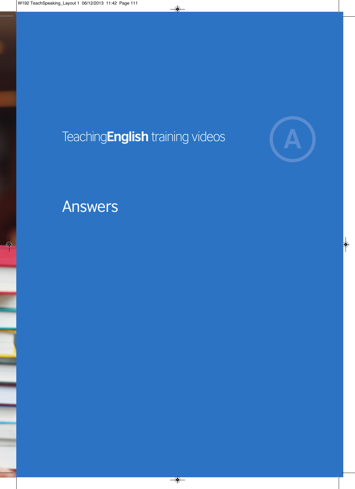Teaching**English** training videos **A**



Answers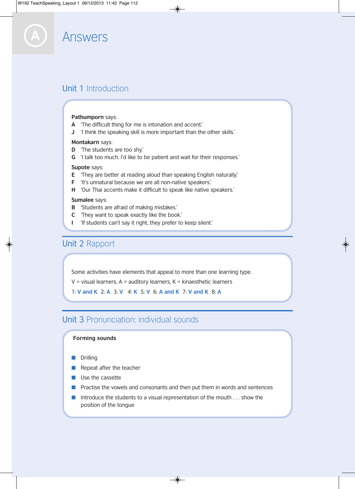# Unit 1 Introduction

**Answers** 

#### **Pathumporn** says:

- **A** 'The difficult thing for me is intonation and accent.'
- **J** 'I think the speaking skill is more important than the other skills.'

#### **Montakarn** says:

- **D** 'The students are too shy.'
- **G** 'I talk too much. I'd like to be patient and wait for their responses.'

#### **Supote** says:

- **E** 'They are better at reading aloud than speaking English naturally.'
- **F** 'It's unnatural because we are all non-native speakers.'
- **H** 'Our Thai accents make it difficult to speak like native speakers.'

#### **Sumalee** says:

- **B** 'Students are afraid of making mistakes.'
- **C** 'They want to speak exactly like the book.'
- **I** 'If students can't say it right, they prefer to keep silent.'

# Unit 2 Rapport

Some activities have elements that appeal to more than one learning type.

 $V =$  visual learners, A = auditory learners, K = kinaesthetic learners

1: **V and K** 2: **A** 3: **V** 4: **K** 5: **V** 6: **A and K** 7: **V and K** 8: **A**

### Unit 3 Pronunciation: individual sounds

#### **Forming sounds**

- **Drilling**
- Repeat after the teacher
- Use the cassette
- Practise the vowels and consonants and then put them in words and sentences
- Introduce the students to a visual representation of the mouth . . . show the position of the tongue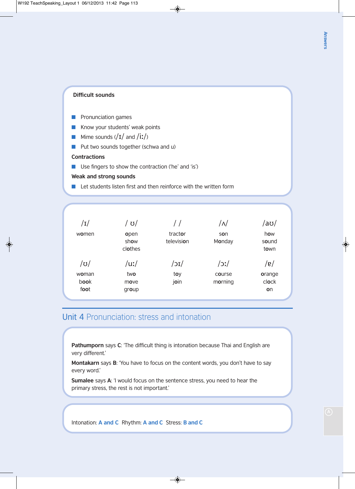#### **Difficult sounds**

- Pronunciation games
- Know your students' weak points
- **Mime sounds (/I/ and /iː/)**
- Put two sounds together (schwa and u)

#### **Contractions**

■ Use fingers to show the contraction ('he' and 'is')

#### **Weak and strong sounds**

■ Let students listen first and then reinforce with the written form

| /1/<br>women         | open<br>show<br>clothes | //<br>tractor<br>television        | /٨/<br>son<br>Monday            | $/$ a $U/$<br>how<br>sound<br>town |
|----------------------|-------------------------|------------------------------------|---------------------------------|------------------------------------|
| /ʊ/<br>woman<br>book | /uː/<br>two<br>move     | $\overline{\rm 1c}$<br>toy<br>join | $\sqrt{2}$<br>course<br>morning | /e/<br>orange<br>clock             |
| foot                 | group                   |                                    |                                 | on                                 |

## Unit 4 Pronunciation: stress and intonation

**Pathumporn** says **C**: 'The difficult thing is intonation because Thai and English are very different.'

**Montakarn** says **B**: 'You have to focus on the content words, you don't have to say every word.'

**Sumalee** says **A**: 'I would focus on the sentence stress, you need to hear the primary stress, the rest is not important.'

Intonation: **A and C** Rhythm: **A and C** Stress: **B and C**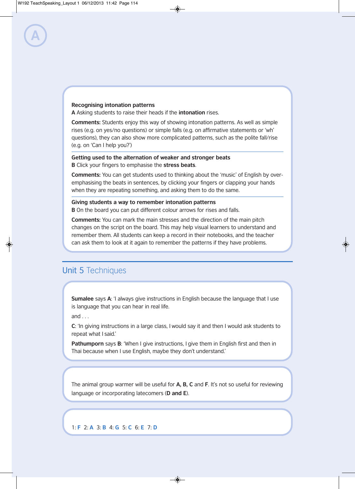#### **Recognising intonation patterns**

**A**

**A** Asking students to raise their heads if the **intonation** rises.

**Comments:** Students enjoy this way of showing intonation patterns. As well as simple rises (e.g. on yes/no questions) or simple falls (e.g. on affirmative statements or 'wh' questions), they can also show more complicated patterns, such as the polite fall/rise (e.g. on 'Can I help you?')

**Getting used to the alternation of weaker and stronger beats B** Click your fingers to emphasise the **stress beats**.

**Comments:** You can get students used to thinking about the 'music' of English by overemphasising the beats in sentences, by clicking your fingers or clapping your hands when they are repeating something, and asking them to do the same.

**Giving students a way to remember intonation patterns B** On the board you can put different colour arrows for rises and falls.

**Comments:** You can mark the main stresses and the direction of the main pitch changes on the script on the board. This may help visual learners to understand and remember them. All students can keep a record in their notebooks, and the teacher can ask them to look at it again to remember the patterns if they have problems.

### Unit 5 Techniques

**Sumalee** says **A**: 'I always give instructions in English because the language that I use is language that you can hear in real life.

and . . .

**C**: 'In giving instructions in a large class, I would say it and then I would ask students to repeat what I said.'

**Pathumporn** says **B**: 'When I give instructions, I give them in English first and then in Thai because when I use English, maybe they don't understand.'

The animal group warmer will be useful for **A, B, C** and **F**. It's not so useful for reviewing language or incorporating latecomers (**D and E**).

1: **F** 2: **A** 3: **B** 4: **G** 5: **C** 6: **E** 7: **D**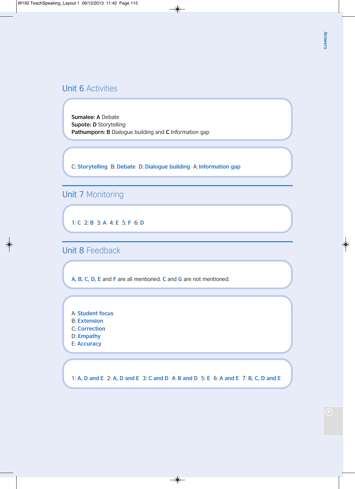## Unit 6 Activities

**Sumalee: A** Debate **Supote: D** Storytelling **Pathumporn: B** Dialogue building and **C** Information gap

C: **Storytelling** B: **Debate** D: **Dialogue building** A: **Information gap**

# Unit 7 Monitoring

1: **C** 2: **B** 3: **A** 4: **E** 5: **F** 6: **D**

## Unit 8 Feedback

**A, B, C, D, E** and **F** are all mentioned. **C** and **G** are not mentioned.

- A: **Student focus** B: **Extension** C: **Correction**
- D: **Empathy**
- E: **Accuracy**

1: **A, D and E** 2: **A, D and E** 3: **C and D** 4: **B and D** 5: **E** 6: **A and E** 7: **B, C, D and E**